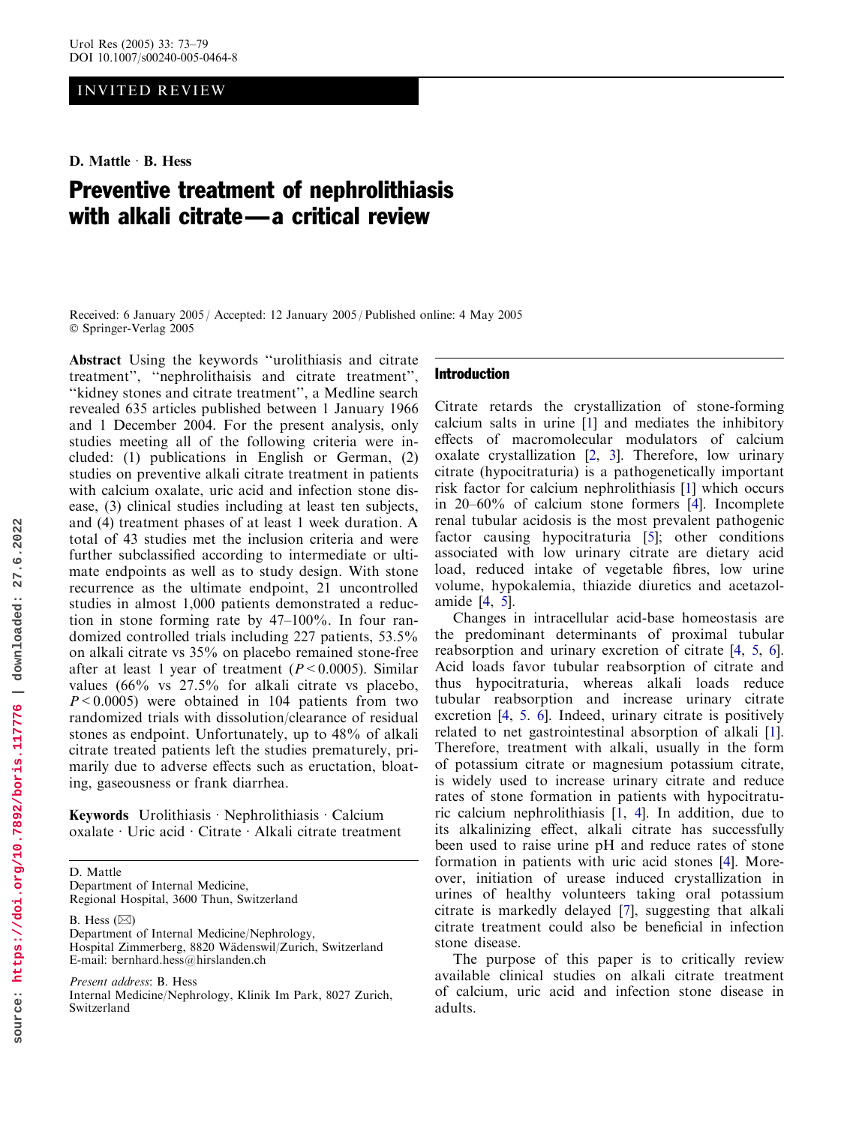# INVITED REVIEW

D. Mattle  $\cdot$  B. Hess

# Preventive treatment of nephrolithiasis with alkali citrate—a critical review

Received: 6 January 2005 / Accepted: 12 January 2005 / Published online: 4 May 2005 Springer-Verlag 2005

Abstract Using the keywords ''urolithiasis and citrate treatment'', ''nephrolithaisis and citrate treatment'', ''kidney stones and citrate treatment'', a Medline search revealed 635 articles published between 1 January 1966 and 1 December 2004. For the present analysis, only studies meeting all of the following criteria were included: (1) publications in English or German, (2) studies on preventive alkali citrate treatment in patients with calcium oxalate, uric acid and infection stone disease, (3) clinical studies including at least ten subjects, and (4) treatment phases of at least 1 week duration. A total of 43 studies met the inclusion criteria and were further subclassified according to intermediate or ultimate endpoints as well as to study design. With stone recurrence as the ultimate endpoint, 21 uncontrolled studies in almost 1,000 patients demonstrated a reduction in stone forming rate by 47–100%. In four randomized controlled trials including 227 patients, 53.5% on alkali citrate vs 35% on placebo remained stone-free after at least 1 year of treatment ( $P < 0.0005$ ). Similar values (66% vs 27.5% for alkali citrate vs placebo,  $P \le 0.0005$ ) were obtained in 104 patients from two randomized trials with dissolution/clearance of residual stones as endpoint. Unfortunately, up to 48% of alkali citrate treated patients left the studies prematurely, primarily due to adverse effects such as eructation, bloating, gaseousness or frank diarrhea.

Keywords Urolithiasis · Nephrolithiasis · Calcium oxalate · Uric acid · Citrate · Alkali citrate treatment

D. Mattle Department of Internal Medicine, Regional Hospital, 3600 Thun, Switzerland

B. Hess  $(\boxtimes)$ 

Switzerland

Department of Internal Medicine/Nephrology, Hospital Zimmerberg, 8820 Wädenswil/Zurich, Switzerland E-mail: bernhard.hess@hirslanden.ch

Present address: B. Hess Internal Medicine/Nephrology, Klinik Im Park, 8027 Zurich,

## Introduction

Citrate retards the crystallization of stone-forming calcium salts in urine [1] and mediates the inhibitory effects of macromolecular modulators of calcium oxalate crystallization [2, 3]. Therefore, low urinary citrate (hypocitraturia) is a pathogenetically important risk factor for calcium nephrolithiasis [1] which occurs in 20–60% of calcium stone formers [4]. Incomplete renal tubular acidosis is the most prevalent pathogenic factor causing hypocitraturia [5]; other conditions associated with low urinary citrate are dietary acid load, reduced intake of vegetable fibres, low urine volume, hypokalemia, thiazide diuretics and acetazolamide [4, 5].

Changes in intracellular acid-base homeostasis are the predominant determinants of proximal tubular reabsorption and urinary excretion of citrate [4, 5, 6]. Acid loads favor tubular reabsorption of citrate and thus hypocitraturia, whereas alkali loads reduce tubular reabsorption and increase urinary citrate excretion [4, 5. 6]. Indeed, urinary citrate is positively related to net gastrointestinal absorption of alkali [1]. Therefore, treatment with alkali, usually in the form of potassium citrate or magnesium potassium citrate, is widely used to increase urinary citrate and reduce rates of stone formation in patients with hypocitraturic calcium nephrolithiasis [1, 4]. In addition, due to its alkalinizing effect, alkali citrate has successfully been used to raise urine pH and reduce rates of stone formation in patients with uric acid stones [4]. Moreover, initiation of urease induced crystallization in urines of healthy volunteers taking oral potassium citrate is markedly delayed [7], suggesting that alkali citrate treatment could also be beneficial in infection stone disease.

The purpose of this paper is to critically review available clinical studies on alkali citrate treatment of calcium, uric acid and infection stone disease in adults.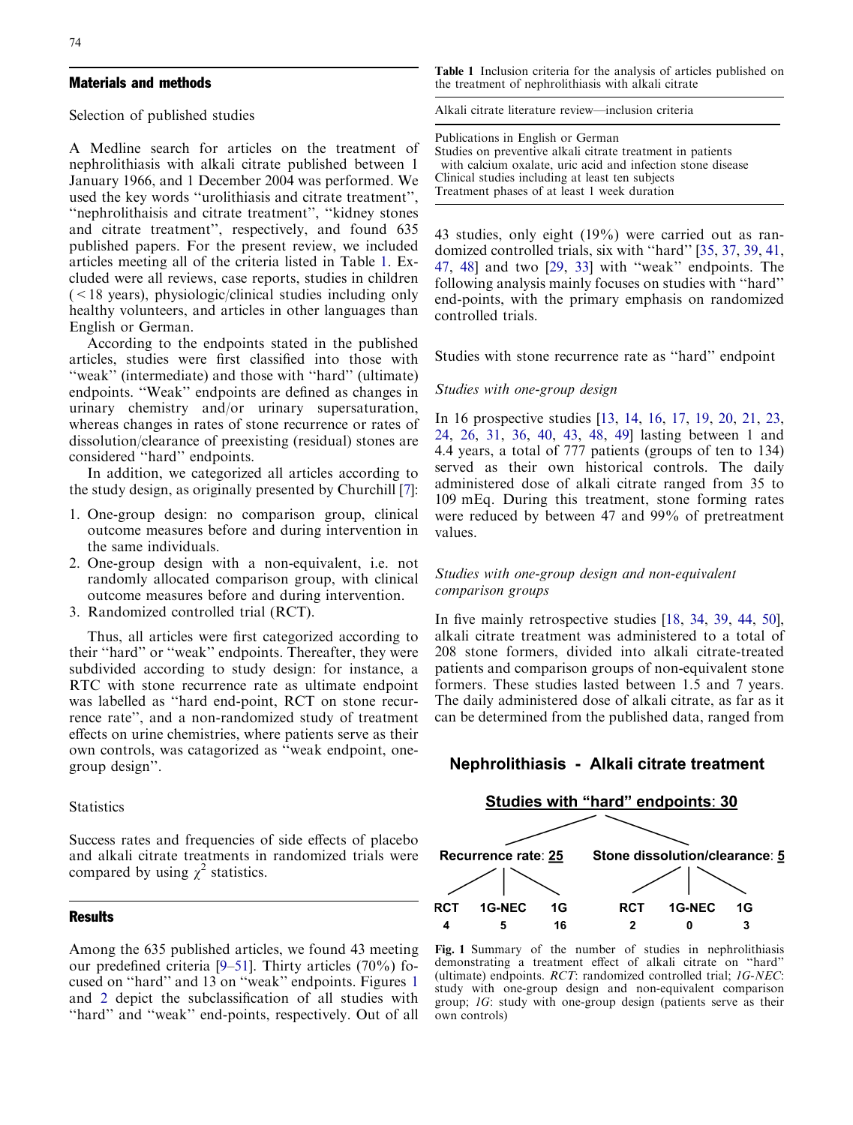## Materials and methods

Selection of published studies

A Medline search for articles on the treatment of nephrolithiasis with alkali citrate published between 1 January 1966, and 1 December 2004 was performed. We used the key words ''urolithiasis and citrate treatment'', ''nephrolithaisis and citrate treatment'', ''kidney stones and citrate treatment'', respectively, and found 635 published papers. For the present review, we included articles meeting all of the criteria listed in Table 1. Excluded were all reviews, case reports, studies in children  $(< 18$  years), physiologic/clinical studies including only healthy volunteers, and articles in other languages than English or German.

According to the endpoints stated in the published articles, studies were first classified into those with "weak" (intermediate) and those with "hard" (ultimate) endpoints. ''Weak'' endpoints are defined as changes in urinary chemistry and/or urinary supersaturation, whereas changes in rates of stone recurrence or rates of dissolution/clearance of preexisting (residual) stones are considered ''hard'' endpoints.

In addition, we categorized all articles according to the study design, as originally presented by Churchill [7]:

- 1. One-group design: no comparison group, clinical outcome measures before and during intervention in the same individuals.
- 2. One-group design with a non-equivalent, i.e. not randomly allocated comparison group, with clinical outcome measures before and during intervention.
- 3. Randomized controlled trial (RCT).

Thus, all articles were first categorized according to their ''hard'' or ''weak'' endpoints. Thereafter, they were subdivided according to study design: for instance, a RTC with stone recurrence rate as ultimate endpoint was labelled as ''hard end-point, RCT on stone recurrence rate'', and a non-randomized study of treatment effects on urine chemistries, where patients serve as their own controls, was catagorized as ''weak endpoint, onegroup design''.

## **Statistics**

Success rates and frequencies of side effects of placebo and alkali citrate treatments in randomized trials were compared by using  $\chi^2$  statistics.

## Results

Among the 635 published articles, we found 43 meeting our predefined criteria [9–51]. Thirty articles (70%) focused on ''hard'' and 13 on ''weak'' endpoints. Figures 1 and 2 depict the subclassification of all studies with ''hard'' and ''weak'' end-points, respectively. Out of all Table 1 Inclusion criteria for the analysis of articles published on the treatment of nephrolithiasis with alkali citrate

Alkali citrate literature review—inclusion criteria

Publications in English or German Studies on preventive alkali citrate treatment in patients with calcium oxalate, uric acid and infection stone disease Clinical studies including at least ten subjects Treatment phases of at least 1 week duration

43 studies, only eight (19%) were carried out as randomized controlled trials, six with ''hard'' [35, [37,](#page-5-0) 39, 41, 47, 48] and two [29, 33] with ''weak'' endpoints. The following analysis mainly focuses on studies with ''hard'' end-points, with the primary emphasis on randomized controlled trials.

Studies with stone recurrence rate as ''hard'' endpoint

#### Studies with one-group design

In 16 prospective studies [13, 14, 16, 17, 19, 20, 21, 23, 24, 26, 31, 36, 40, 43, 48, 49] lasting between 1 and 4.4 years, a total of 777 patients (groups of ten to 134) served as their own historical controls. The daily administered dose of alkali citrate ranged from 35 to 109 mEq. During this treatment, stone forming rates were reduced by between 47 and 99% of pretreatment values.

## Studies with one-group design and non-equivalent comparison groups

In five mainly retrospective studies [18, 34, 39, 44, 50], alkali citrate treatment was administered to a total of 208 stone formers, divided into alkali citrate-treated patients and comparison groups of non-equivalent stone formers. These studies lasted between 1.5 and 7 years. The daily administered dose of alkali citrate, as far as it can be determined from the published data, ranged from

## Nephrolithiasis - Alkali citrate treatment



Fig. 1 Summary of the number of studies in nephrolithiasis demonstrating a treatment effect of alkali citrate on ''hard'' (ultimate) endpoints. RCT: randomized controlled trial; 1G-NEC: study with one-group design and non-equivalent comparison group; 1G: study with one-group design (patients serve as their own controls)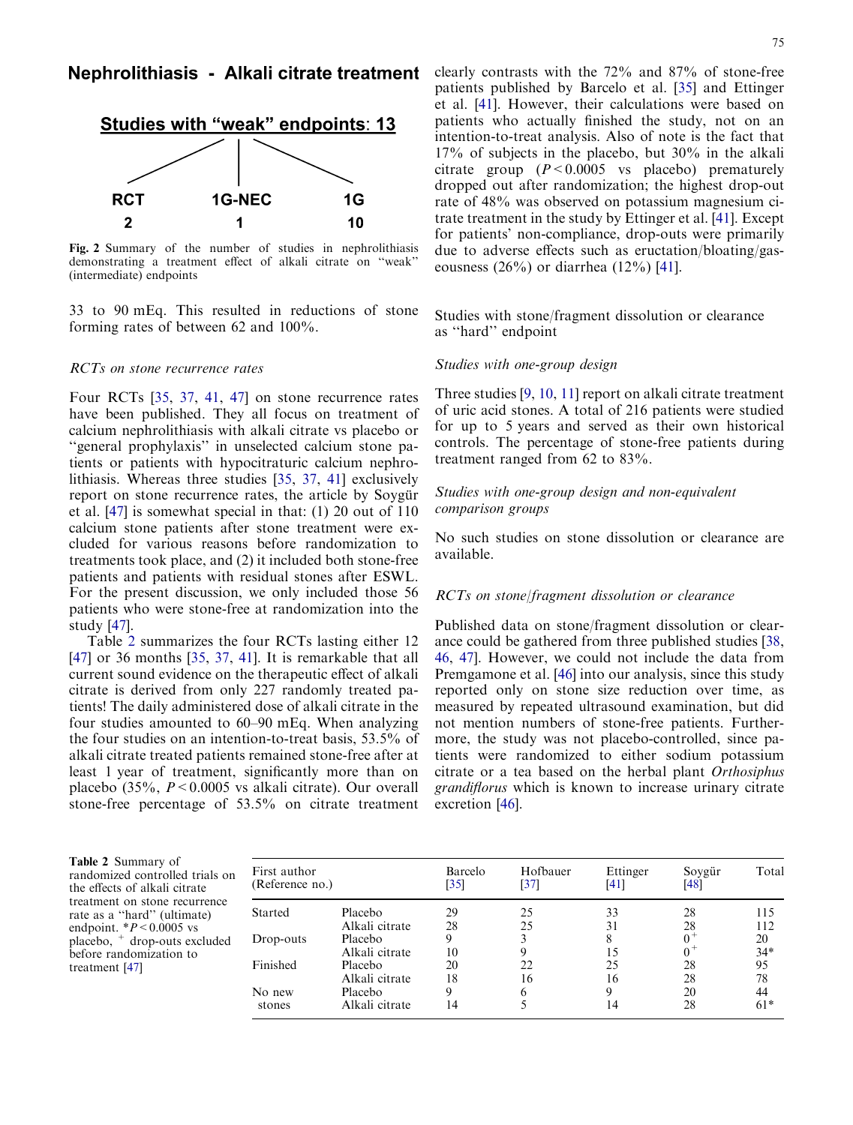

Fig. 2 Summary of the number of studies in nephrolithiasis demonstrating a treatment effect of alkali citrate on ''weak'' (intermediate) endpoints

33 to 90 mEq. This resulted in reductions of stone forming rates of between 62 and 100%.

#### RCTs on stone recurrence rates

Four RCTs [35, [37,](#page-5-0) 41, 47] on stone recurrence rates have been published. They all focus on treatment of calcium nephrolithiasis with alkali citrate vs placebo or ''general prophylaxis'' in unselected calcium stone patients or patients with hypocitraturic calcium nephrolithiasis. Whereas three studies [35, [37,](#page-5-0) 41] exclusively report on stone recurrence rates, the article by Soygür et al. [47] is somewhat special in that: (1) 20 out of 110 calcium stone patients after stone treatment were excluded for various reasons before randomization to treatments took place, and (2) it included both stone-free patients and patients with residual stones after ESWL. For the present discussion, we only included those 56 patients who were stone-free at randomization into the study [47].

Table 2 summarizes the four RCTs lasting either 12 [47] or 36 months [35, [37](#page-5-0), 41]. It is remarkable that all current sound evidence on the therapeutic effect of alkali citrate is derived from only 227 randomly treated patients! The daily administered dose of alkali citrate in the four studies amounted to 60–90 mEq. When analyzing the four studies on an intention-to-treat basis, 53.5% of alkali citrate treated patients remained stone-free after at least 1 year of treatment, significantly more than on placebo (35%,  $P < 0.0005$  vs alkali citrate). Our overall stone-free percentage of 53.5% on citrate treatment clearly contrasts with the 72% and 87% of stone-free patients published by Barcelo et al. [35] and Ettinger et al. [41]. However, their calculations were based on patients who actually finished the study, not on an intention-to-treat analysis. Also of note is the fact that 17% of subjects in the placebo, but 30% in the alkali citrate group  $(P < 0.0005$  vs placebo) prematurely dropped out after randomization; the highest drop-out rate of 48% was observed on potassium magnesium citrate treatment in the study by Ettinger et al. [41]. Except for patients' non-compliance, drop-outs were primarily due to adverse effects such as eructation/bloating/gaseousness (26%) or diarrhea (12%) [41].

Studies with stone/fragment dissolution or clearance as ''hard'' endpoint

## Studies with one-group design

Three studies [9, 10, 11] report on alkali citrate treatment of uric acid stones. A total of 216 patients were studied for up to 5 years and served as their own historical controls. The percentage of stone-free patients during treatment ranged from 62 to 83%.

## Studies with one-group design and non-equivalent comparison groups

No such studies on stone dissolution or clearance are available.

## RCTs on stone/fragment dissolution or clearance

Published data on stone/fragment dissolution or clearance could be gathered from three published studies [38, 46, 47]. However, we could not include the data from Premgamone et al. [46] into our analysis, since this study reported only on stone size reduction over time, as measured by repeated ultrasound examination, but did not mention numbers of stone-free patients. Furthermore, the study was not placebo-controlled, since patients were randomized to either sodium potassium citrate or a tea based on the herbal plant Orthosiphus grandiflorus which is known to increase urinary citrate excretion [46].

Table 2 Summary of randomized controlled trials on the effects of alkali citrate treatment on stone recurrence rate as a ''hard'' (ultimate) endpoint.  $*P < 0.0005$  vs placebo, <sup>+</sup> drop-outs excluded before randomization to treatment [47]

| First author<br>(Reference no.) |                | Barcelo<br>[35] | Hofbauer<br>[37] | Ettinger<br>[41] | Soygür<br>[48] | Total |
|---------------------------------|----------------|-----------------|------------------|------------------|----------------|-------|
| <b>Started</b>                  | Placebo        | 29              | 25               | 33               | 28             | 115   |
|                                 | Alkali citrate | 28              | 25               | 31               | 28             | 112   |
| Drop-outs                       | Placebo        | 9               |                  | 8                | $0^+$          | 20    |
|                                 | Alkali citrate | 10              | 9                | 15               | $0^+$          | $34*$ |
| Finished                        | Placebo        | 20              | 22               | 25               | 28             | 95    |
|                                 | Alkali citrate | 18              | 16               | 16               | 28             | 78    |
| No new                          | Placebo        | 9               | 6                | 9                | 20             | 44    |
| stones                          | Alkali citrate | 14              |                  | 14               | 28             | $61*$ |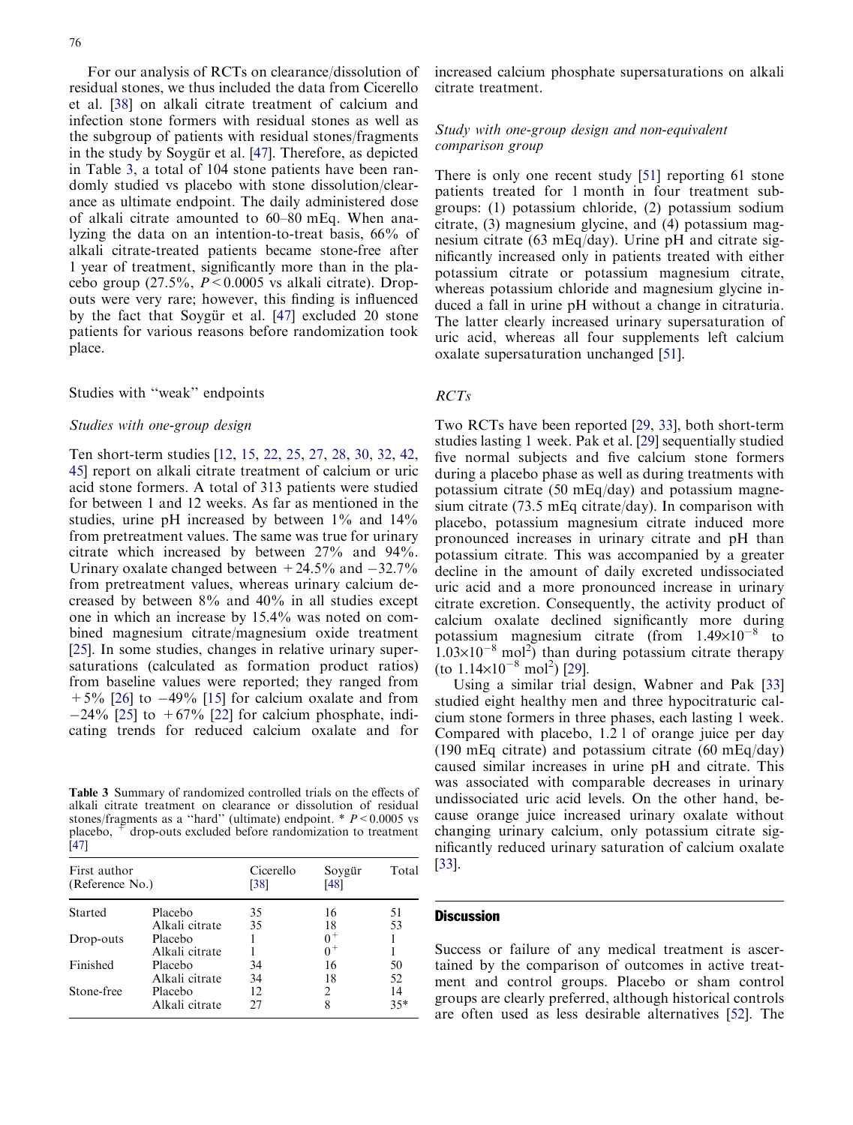For our analysis of RCTs on clearance/dissolution of residual stones, we thus included the data from Cicerello et al. [38] on alkali citrate treatment of calcium and infection stone formers with residual stones as well as the subgroup of patients with residual stones/fragments in the study by Soygür et al. [47]. Therefore, as depicted in Table 3, a total of 104 stone patients have been randomly studied vs placebo with stone dissolution/clearance as ultimate endpoint. The daily administered dose of alkali citrate amounted to 60–80 mEq. When analyzing the data on an intention-to-treat basis, 66% of alkali citrate-treated patients became stone-free after 1 year of treatment, significantly more than in the placebo group  $(27.5\%, P < 0.0005 \text{ vs alkali citrate})$ . Dropouts were very rare; however, this finding is influenced by the fact that Soygür et al.  $[47]$  excluded 20 stone patients for various reasons before randomization took place.

#### Studies with ''weak'' endpoints

#### Studies with one-group design

Ten short-term studies [12, 15, 22, 25, 27, 28, 30, 32, 42, 45] report on alkali citrate treatment of calcium or uric acid stone formers. A total of 313 patients were studied for between 1 and 12 weeks. As far as mentioned in the studies, urine pH increased by between 1% and 14% from pretreatment values. The same was true for urinary citrate which increased by between 27% and 94%. Urinary oxalate changed between  $+24.5\%$  and  $-32.7\%$ from pretreatment values, whereas urinary calcium decreased by between 8% and 40% in all studies except one in which an increase by 15.4% was noted on combined magnesium citrate/magnesium oxide treatment [25]. In some studies, changes in relative urinary supersaturations (calculated as formation product ratios) from baseline values were reported; they ranged from  $+5\%$  [26] to  $-49\%$  [15] for calcium oxalate and from  $-24\%$  [25] to  $+67\%$  [22] for calcium phosphate, indicating trends for reduced calcium oxalate and for

Table 3 Summary of randomized controlled trials on the effects of alkali citrate treatment on clearance or dissolution of residual stones/fragments as a "hard" (ultimate) endpoint.  $* P < 0.0005$  vs placebo,  $\pm$  drop-outs excluded before randomization to treatment [47]

| First author<br>(Reference No.) |                | Cicerello<br>[38] | Soygür<br>[48] | Total |
|---------------------------------|----------------|-------------------|----------------|-------|
| <b>Started</b>                  | Placebo        | 35                | 16             | 51    |
|                                 | Alkali citrate | 35                | 18             | 53    |
| Drop-outs                       | Placebo        |                   |                |       |
|                                 | Alkali citrate |                   |                |       |
| Finished                        | Placebo        | 34                | 16             | 50    |
|                                 | Alkali citrate | 34                | 18             | 52    |
| Stone-free                      | Placebo        | 12                | 2              | 14    |
|                                 | Alkali citrate | 27                | 8              | $35*$ |

increased calcium phosphate supersaturations on alkali citrate treatment.

# Study with one-group design and non-equivalent comparison group

There is only one recent study [51] reporting 61 stone patients treated for 1 month in four treatment subgroups: (1) potassium chloride, (2) potassium sodium citrate, (3) magnesium glycine, and (4) potassium magnesium citrate (63 mEq/day). Urine pH and citrate significantly increased only in patients treated with either potassium citrate or potassium magnesium citrate, whereas potassium chloride and magnesium glycine induced a fall in urine pH without a change in citraturia. The latter clearly increased urinary supersaturation of uric acid, whereas all four supplements left calcium oxalate supersaturation unchanged [51].

#### RCTs

Two RCTs have been reported [29, 33], both short-term studies lasting 1 week. Pak et al. [29] sequentially studied five normal subjects and five calcium stone formers during a placebo phase as well as during treatments with potassium citrate (50 mEq/day) and potassium magnesium citrate (73.5 mEq citrate/day). In comparison with placebo, potassium magnesium citrate induced more pronounced increases in urinary citrate and pH than potassium citrate. This was accompanied by a greater decline in the amount of daily excreted undissociated uric acid and a more pronounced increase in urinary citrate excretion. Consequently, the activity product of calcium oxalate declined significantly more during potassium magnesium citrate (from  $1.49\times10^{-8}$  to  $(1.03\times10^{-8} \text{ mol}^2)$  than during potassium citrate therapy (to  $1.14\times10^{-8}$  mol<sup>2</sup>) [29].

Using a similar trial design, Wabner and Pak [33] studied eight healthy men and three hypocitraturic calcium stone formers in three phases, each lasting 1 week. Compared with placebo, 1.2 l of orange juice per day (190 mEq citrate) and potassium citrate (60 mEq/day) caused similar increases in urine pH and citrate. This was associated with comparable decreases in urinary undissociated uric acid levels. On the other hand, because orange juice increased urinary oxalate without changing urinary calcium, only potassium citrate significantly reduced urinary saturation of calcium oxalate [33].

#### **Discussion**

Success or failure of any medical treatment is ascertained by the comparison of outcomes in active treatment and control groups. Placebo or sham control groups are clearly preferred, although historical controls are often used as less desirable alternatives [52]. The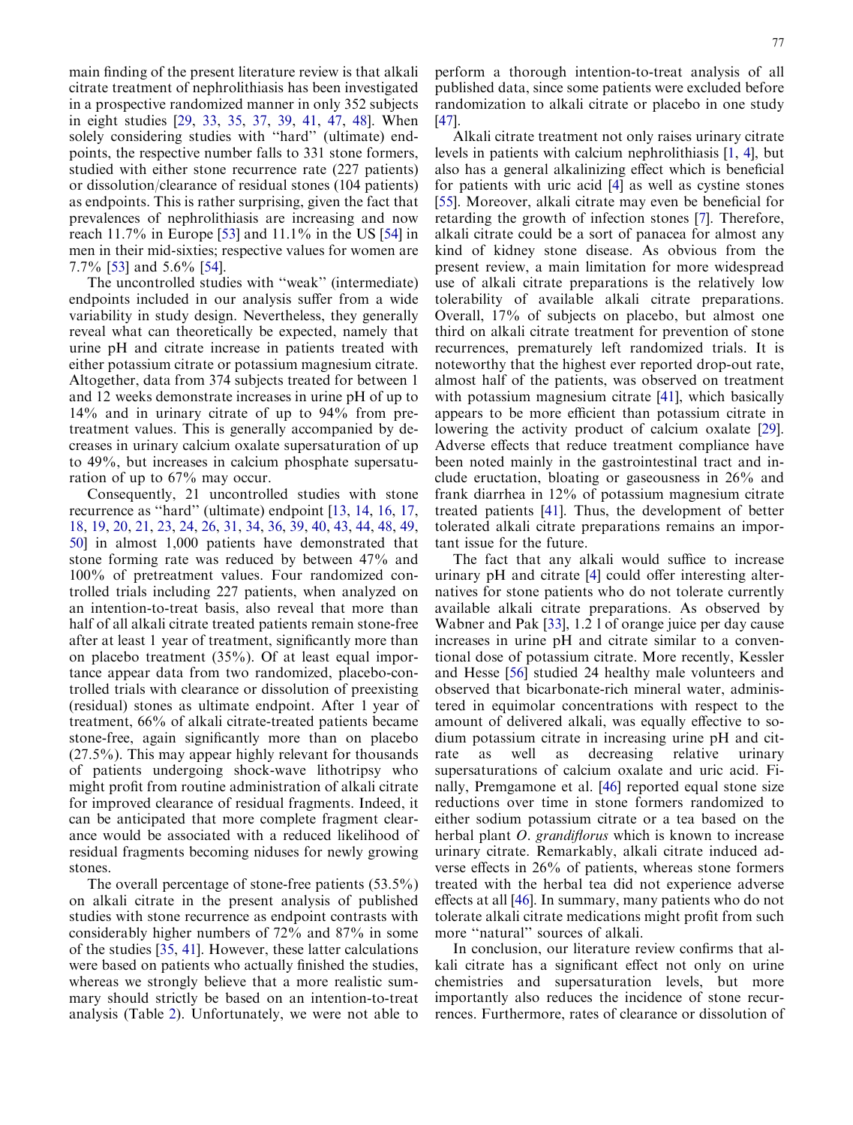main finding of the present literature review is that alkali citrate treatment of nephrolithiasis has been investigated in a prospective randomized manner in only 352 subjects in eight studies [29, 33, 35, [37](#page-5-0), 39, 41, 47, 48]. When solely considering studies with ''hard'' (ultimate) endpoints, the respective number falls to 331 stone formers, studied with either stone recurrence rate (227 patients) or dissolution/clearance of residual stones (104 patients) as endpoints. This is rather surprising, given the fact that prevalences of nephrolithiasis are increasing and now reach 11.7% in Europe [53] and 11.1% in the US [54] in men in their mid-sixties; respective values for women are 7.7% [53] and 5.6% [54].

The uncontrolled studies with ''weak'' (intermediate) endpoints included in our analysis suffer from a wide variability in study design. Nevertheless, they generally reveal what can theoretically be expected, namely that urine pH and citrate increase in patients treated with either potassium citrate or potassium magnesium citrate. Altogether, data from 374 subjects treated for between 1 and 12 weeks demonstrate increases in urine pH of up to 14% and in urinary citrate of up to 94% from pretreatment values. This is generally accompanied by decreases in urinary calcium oxalate supersaturation of up to 49%, but increases in calcium phosphate supersaturation of up to 67% may occur.

Consequently, 21 uncontrolled studies with stone recurrence as ''hard'' (ultimate) endpoint [13, 14, 16, 17, 18, 19, 20, 21, 23, 24, 26, 31, 34, 36, 39, 40, 43, 44, 48, 49, 50] in almost 1,000 patients have demonstrated that stone forming rate was reduced by between 47% and 100% of pretreatment values. Four randomized controlled trials including 227 patients, when analyzed on an intention-to-treat basis, also reveal that more than half of all alkali citrate treated patients remain stone-free after at least 1 year of treatment, significantly more than on placebo treatment (35%). Of at least equal importance appear data from two randomized, placebo-controlled trials with clearance or dissolution of preexisting (residual) stones as ultimate endpoint. After 1 year of treatment, 66% of alkali citrate-treated patients became stone-free, again significantly more than on placebo (27.5%). This may appear highly relevant for thousands of patients undergoing shock-wave lithotripsy who might profit from routine administration of alkali citrate for improved clearance of residual fragments. Indeed, it can be anticipated that more complete fragment clearance would be associated with a reduced likelihood of residual fragments becoming niduses for newly growing stones.

The overall percentage of stone-free patients (53.5%) on alkali citrate in the present analysis of published studies with stone recurrence as endpoint contrasts with considerably higher numbers of 72% and 87% in some of the studies [35, 41]. However, these latter calculations were based on patients who actually finished the studies, whereas we strongly believe that a more realistic summary should strictly be based on an intention-to-treat analysis (Table 2). Unfortunately, we were not able to

perform a thorough intention-to-treat analysis of all published data, since some patients were excluded before randomization to alkali citrate or placebo in one study [47].

Alkali citrate treatment not only raises urinary citrate levels in patients with calcium nephrolithiasis [1, 4], but also has a general alkalinizing effect which is beneficial for patients with uric acid [4] as well as cystine stones [55]. Moreover, alkali citrate may even be beneficial for retarding the growth of infection stones [7]. Therefore, alkali citrate could be a sort of panacea for almost any kind of kidney stone disease. As obvious from the present review, a main limitation for more widespread use of alkali citrate preparations is the relatively low tolerability of available alkali citrate preparations. Overall, 17% of subjects on placebo, but almost one third on alkali citrate treatment for prevention of stone recurrences, prematurely left randomized trials. It is noteworthy that the highest ever reported drop-out rate, almost half of the patients, was observed on treatment with potassium magnesium citrate [41], which basically appears to be more efficient than potassium citrate in lowering the activity product of calcium oxalate [29]. Adverse effects that reduce treatment compliance have been noted mainly in the gastrointestinal tract and include eructation, bloating or gaseousness in 26% and frank diarrhea in 12% of potassium magnesium citrate treated patients [41]. Thus, the development of better tolerated alkali citrate preparations remains an important issue for the future.

The fact that any alkali would suffice to increase urinary pH and citrate [4] could offer interesting alternatives for stone patients who do not tolerate currently available alkali citrate preparations. As observed by Wabner and Pak [33], 1.2 l of orange juice per day cause increases in urine pH and citrate similar to a conventional dose of potassium citrate. More recently, Kessler and Hesse [56] studied 24 healthy male volunteers and observed that bicarbonate-rich mineral water, administered in equimolar concentrations with respect to the amount of delivered alkali, was equally effective to sodium potassium citrate in increasing urine pH and citrate as well as decreasing relative urinary supersaturations of calcium oxalate and uric acid. Finally, Premgamone et al. [46] reported equal stone size reductions over time in stone formers randomized to either sodium potassium citrate or a tea based on the herbal plant *O. grandiflorus* which is known to increase urinary citrate. Remarkably, alkali citrate induced adverse effects in 26% of patients, whereas stone formers treated with the herbal tea did not experience adverse effects at all [46]. In summary, many patients who do not tolerate alkali citrate medications might profit from such more ''natural'' sources of alkali.

In conclusion, our literature review confirms that alkali citrate has a significant effect not only on urine chemistries and supersaturation levels, but more importantly also reduces the incidence of stone recurrences. Furthermore, rates of clearance or dissolution of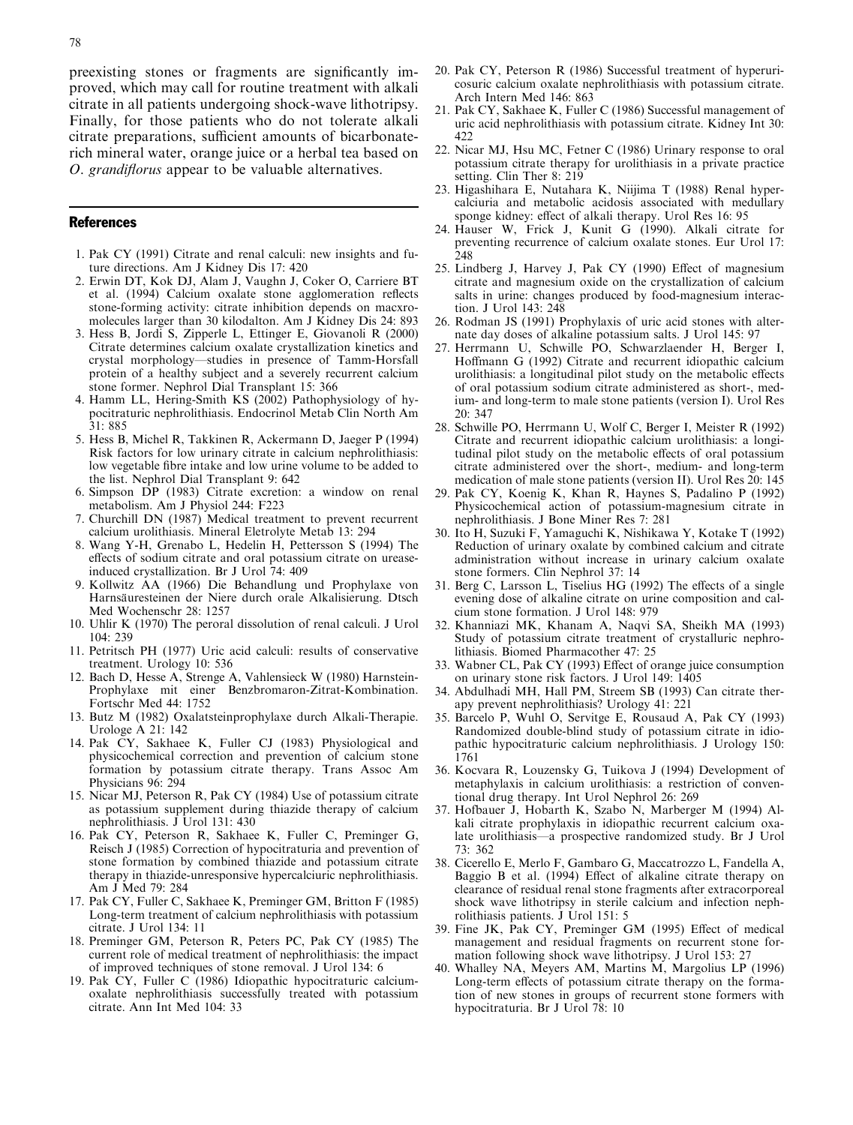<span id="page-5-0"></span>preexisting stones or fragments are significantly improved, which may call for routine treatment with alkali citrate in all patients undergoing shock-wave lithotripsy. Finally, for those patients who do not tolerate alkali citrate preparations, sufficient amounts of bicarbonaterich mineral water, orange juice or a herbal tea based on O. grandiflorus appear to be valuable alternatives.

#### References

- 1. Pak CY (1991) Citrate and renal calculi: new insights and future directions. Am J Kidney Dis 17: 420
- 2. Erwin DT, Kok DJ, Alam J, Vaughn J, Coker O, Carriere BT et al. (1994) Calcium oxalate stone agglomeration reflects stone-forming activity: citrate inhibition depends on macxromolecules larger than 30 kilodalton. Am J Kidney Dis 24: 893
- 3. Hess B, Jordi S, Zipperle L, Ettinger E, Giovanoli R (2000) Citrate determines calcium oxalate crystallization kinetics and crystal morphology—studies in presence of Tamm-Horsfall protein of a healthy subject and a severely recurrent calcium stone former. Nephrol Dial Transplant 15: 366
- 4. Hamm LL, Hering-Smith KS (2002) Pathophysiology of hypocitraturic nephrolithiasis. Endocrinol Metab Clin North Am 31: 885
- 5. Hess B, Michel R, Takkinen R, Ackermann D, Jaeger P (1994) Risk factors for low urinary citrate in calcium nephrolithiasis: low vegetable fibre intake and low urine volume to be added to the list. Nephrol Dial Transplant 9: 642
- 6. Simpson DP (1983) Citrate excretion: a window on renal metabolism. Am J Physiol 244: F223
- 7. Churchill DN (1987) Medical treatment to prevent recurrent calcium urolithiasis. Mineral Eletrolyte Metab 13: 294
- 8. Wang Y-H, Grenabo L, Hedelin H, Pettersson S (1994) The effects of sodium citrate and oral potassium citrate on ureaseinduced crystallization. Br J Urol 74: 409
- 9. Kollwitz AA (1966) Die Behandlung und Prophylaxe von Harnsäuresteinen der Niere durch orale Alkalisierung. Dtsch Med Wochenschr 28: 1257
- 10. Uhlir K (1970) The peroral dissolution of renal calculi. J Urol 104: 239
- 11. Petritsch PH (1977) Uric acid calculi: results of conservative treatment. Urology 10: 536
- 12. Bach D, Hesse A, Strenge A, Vahlensieck W (1980) Harnstein-Prophylaxe mit einer Benzbromaron-Zitrat-Kombination. Fortschr Med 44: 1752
- 13. Butz M (1982) Oxalatsteinprophylaxe durch Alkali-Therapie. Urologe A 21: 142
- 14. Pak CY, Sakhaee K, Fuller CJ (1983) Physiological and physicochemical correction and prevention of calcium stone formation by potassium citrate therapy. Trans Assoc Am Physicians 96: 294
- 15. Nicar MJ, Peterson R, Pak CY (1984) Use of potassium citrate as potassium supplement during thiazide therapy of calcium nephrolithiasis. J Urol 131: 430
- 16. Pak CY, Peterson R, Sakhaee K, Fuller C, Preminger G, Reisch J (1985) Correction of hypocitraturia and prevention of stone formation by combined thiazide and potassium citrate therapy in thiazide-unresponsive hypercalciuric nephrolithiasis. Am J Med 79: 284
- 17. Pak CY, Fuller C, Sakhaee K, Preminger GM, Britton F (1985) Long-term treatment of calcium nephrolithiasis with potassium citrate. J Urol 134: 11
- 18. Preminger GM, Peterson R, Peters PC, Pak CY (1985) The current role of medical treatment of nephrolithiasis: the impact of improved techniques of stone removal. J Urol 134: 6
- 19. Pak CY, Fuller C (1986) Idiopathic hypocitraturic calciumoxalate nephrolithiasis successfully treated with potassium citrate. Ann Int Med 104: 33
- 20. Pak CY, Peterson R (1986) Successful treatment of hyperuricosuric calcium oxalate nephrolithiasis with potassium citrate. Arch Intern Med 146: 863
- 21. Pak CY, Sakhaee K, Fuller C (1986) Successful management of uric acid nephrolithiasis with potassium citrate. Kidney Int 30: 422
- 22. Nicar MJ, Hsu MC, Fetner C (1986) Urinary response to oral potassium citrate therapy for urolithiasis in a private practice setting. Clin Ther 8: 219
- 23. Higashihara E, Nutahara K, Niijima T (1988) Renal hypercalciuria and metabolic acidosis associated with medullary sponge kidney: effect of alkali therapy. Urol Res 16: 95
- 24. Hauser W, Frick J, Kunit G (1990). Alkali citrate for preventing recurrence of calcium oxalate stones. Eur Urol 17: 248
- 25. Lindberg J, Harvey J, Pak CY (1990) Effect of magnesium citrate and magnesium oxide on the crystallization of calcium salts in urine: changes produced by food-magnesium interaction. J Urol 143: 248
- 26. Rodman JS (1991) Prophylaxis of uric acid stones with alternate day doses of alkaline potassium salts. J Urol 145: 97
- 27. Herrmann U, Schwille PO, Schwarzlaender H, Berger I, Hoffmann G (1992) Citrate and recurrent idiopathic calcium urolithiasis: a longitudinal pilot study on the metabolic effects of oral potassium sodium citrate administered as short-, medium- and long-term to male stone patients (version I). Urol Res 20: 347
- 28. Schwille PO, Herrmann U, Wolf C, Berger I, Meister R (1992) Citrate and recurrent idiopathic calcium urolithiasis: a longitudinal pilot study on the metabolic effects of oral potassium citrate administered over the short-, medium- and long-term medication of male stone patients (version II). Urol Res 20: 145
- 29. Pak CY, Koenig K, Khan R, Haynes S, Padalino P (1992) Physicochemical action of potassium-magnesium citrate in nephrolithiasis. J Bone Miner Res 7: 281
- 30. Ito H, Suzuki F, Yamaguchi K, Nishikawa Y, Kotake T (1992) Reduction of urinary oxalate by combined calcium and citrate administration without increase in urinary calcium oxalate stone formers. Clin Nephrol 37: 14
- 31. Berg C, Larsson L, Tiselius HG (1992) The effects of a single evening dose of alkaline citrate on urine composition and calcium stone formation. J Urol 148: 979
- 32. Khanniazi MK, Khanam A, Naqvi SA, Sheikh MA (1993) Study of potassium citrate treatment of crystalluric nephrolithiasis. Biomed Pharmacother 47: 25
- 33. Wabner CL, Pak CY (1993) Effect of orange juice consumption on urinary stone risk factors. J Urol 149: 1405
- 34. Abdulhadi MH, Hall PM, Streem SB (1993) Can citrate therapy prevent nephrolithiasis? Urology 41: 221
- 35. Barcelo P, Wuhl O, Servitge E, Rousaud A, Pak CY (1993) Randomized double-blind study of potassium citrate in idiopathic hypocitraturic calcium nephrolithiasis. J Urology 150: 1761
- 36. Kocvara R, Louzensky G, Tuikova J (1994) Development of metaphylaxis in calcium urolithiasis: a restriction of conventional drug therapy. Int Urol Nephrol 26: 269
- 37. Hofbauer J, Hobarth K, Szabo N, Marberger M (1994) Alkali citrate prophylaxis in idiopathic recurrent calcium oxalate urolithiasis—a prospective randomized study. Br J Urol 73: 362
- 38. Cicerello E, Merlo F, Gambaro G, Maccatrozzo L, Fandella A, Baggio B et al. (1994) Effect of alkaline citrate therapy on clearance of residual renal stone fragments after extracorporeal shock wave lithotripsy in sterile calcium and infection nephrolithiasis patients. J Urol 151: 5
- 39. Fine JK, Pak CY, Preminger GM (1995) Effect of medical management and residual fragments on recurrent stone formation following shock wave lithotripsy. J Urol 153: 27
- 40. Whalley NA, Meyers AM, Martins M, Margolius LP (1996) Long-term effects of potassium citrate therapy on the formation of new stones in groups of recurrent stone formers with hypocitraturia. Br J Urol 78: 10